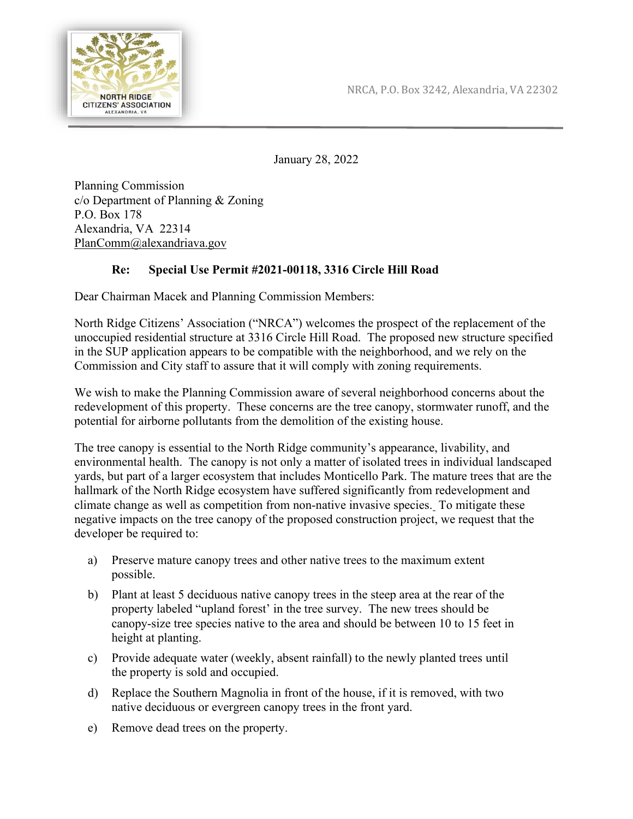

January 28, 2022

Planning Commission c/o Department of Planning & Zoning P.O. Box 178 Alexandria, VA 22314 [PlanComm@alexandriava.gov](mailto:PlanComm@alexandriava.gov)

## **Re: Special Use Permit #2021-00118, 3316 Circle Hill Road**

Dear Chairman Macek and Planning Commission Members:

North Ridge Citizens' Association ("NRCA") welcomes the prospect of the replacement of the unoccupied residential structure at 3316 Circle Hill Road. The proposed new structure specified in the SUP application appears to be compatible with the neighborhood, and we rely on the Commission and City staff to assure that it will comply with zoning requirements.

We wish to make the Planning Commission aware of several neighborhood concerns about the redevelopment of this property. These concerns are the tree canopy, stormwater runoff, and the potential for airborne pollutants from the demolition of the existing house.

The tree canopy is essential to the North Ridge community's appearance, livability, and environmental health. The canopy is not only a matter of isolated trees in individual landscaped yards, but part of a larger ecosystem that includes Monticello Park. The mature trees that are the hallmark of the North Ridge ecosystem have suffered significantly from redevelopment and climate change as well as competition from non-native invasive species. To mitigate these negative impacts on the tree canopy of the proposed construction project, we request that the developer be required to:

- a) Preserve mature canopy trees and other native trees to the maximum extent possible.
- b) Plant at least 5 deciduous native canopy trees in the steep area at the rear of the property labeled "upland forest' in the tree survey. The new trees should be canopy-size tree species native to the area and should be between 10 to 15 feet in height at planting.
- c) Provide adequate water (weekly, absent rainfall) to the newly planted trees until the property is sold and occupied.
- d) Replace the Southern Magnolia in front of the house, if it is removed, with two native deciduous or evergreen canopy trees in the front yard.
- e) Remove dead trees on the property.